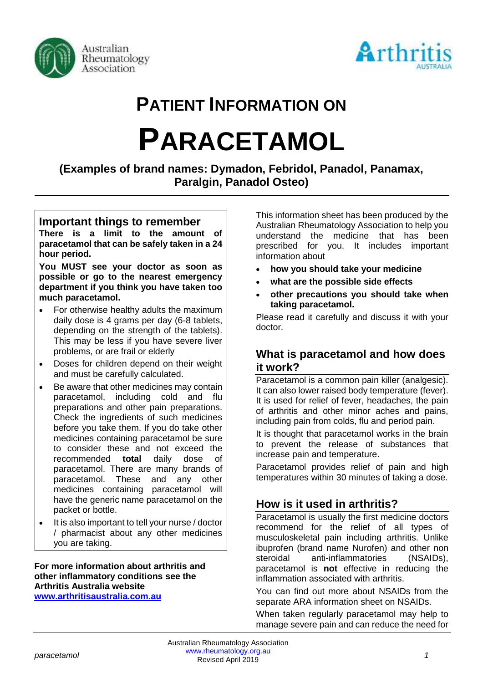



# **PATIENT INFORMATION ON**

# **PARACETAMOL**

**(Examples of brand names: Dymadon, Febridol, Panadol, Panamax, Paralgin, Panadol Osteo)**

#### **Important things to remember**

**There is a limit to the amount of paracetamol that can be safely taken in a 24 hour period.**

**You MUST see your doctor as soon as possible or go to the nearest emergency department if you think you have taken too much paracetamol.**

- For otherwise healthy adults the maximum daily dose is 4 grams per day (6-8 tablets, depending on the strength of the tablets). This may be less if you have severe liver problems, or are frail or elderly
- Doses for children depend on their weight and must be carefully calculated.
- Be aware that other medicines may contain paracetamol, including cold and flu preparations and other pain preparations. Check the ingredients of such medicines before you take them. If you do take other medicines containing paracetamol be sure to consider these and not exceed the recommended **total** daily dose of paracetamol. There are many brands of paracetamol. These and any other medicines containing paracetamol will have the generic name paracetamol on the packet or bottle.
- It is also important to tell your nurse / doctor / pharmacist about any other medicines you are taking.

#### **For more information about arthritis and other inflammatory conditions see the Arthritis Australia website [www.arthritisaustralia.com.au](http://www.arthritisaustralia.com.au/)**

This information sheet has been produced by the Australian Rheumatology Association to help you understand the medicine that has been prescribed for you. It includes important information about

- **how you should take your medicine**
- **what are the possible side effects**
- **other precautions you should take when taking paracetamol.**

Please read it carefully and discuss it with your doctor.

#### **What is paracetamol and how does it work?**

Paracetamol is a common pain killer (analgesic). It can also lower raised body temperature (fever). It is used for relief of fever, headaches, the pain of arthritis and other minor aches and pains, including pain from colds, flu and period pain.

It is thought that paracetamol works in the brain to prevent the release of substances that increase pain and temperature.

Paracetamol provides relief of pain and high temperatures within 30 minutes of taking a dose.

## **How is it used in arthritis?**

Paracetamol is usually the first medicine doctors recommend for the relief of all types of musculoskeletal pain including arthritis. Unlike ibuprofen (brand name Nurofen) and other non steroidal anti-inflammatories (NSAIDs), paracetamol is **not** effective in reducing the inflammation associated with arthritis.

You can find out more about NSAIDs from the separate ARA information sheet on NSAIDs.

When taken regularly paracetamol may help to manage severe pain and can reduce the need for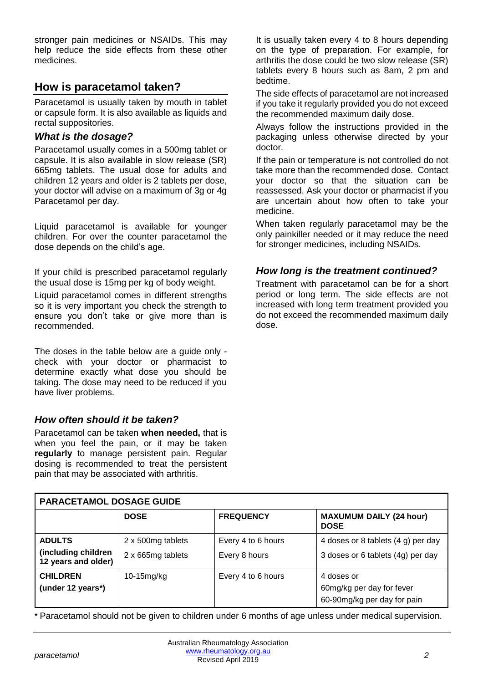stronger pain medicines or NSAIDs. This may help reduce the side effects from these other medicines.

### **How is paracetamol taken?**

Paracetamol is usually taken by mouth in tablet or capsule form. It is also available as liquids and rectal suppositories.

#### *What is the dosage?*

Paracetamol usually comes in a 500mg tablet or capsule. It is also available in slow release (SR) 665mg tablets. The usual dose for adults and children 12 years and older is 2 tablets per dose, your doctor will advise on a maximum of 3g or 4g Paracetamol per day.

Liquid paracetamol is available for younger children. For over the counter paracetamol the dose depends on the child's age.

If your child is prescribed paracetamol regularly the usual dose is 15mg per kg of body weight.

Liquid paracetamol comes in different strengths so it is very important you check the strength to ensure you don't take or give more than is recommended.

The doses in the table below are a guide only check with your doctor or pharmacist to determine exactly what dose you should be taking. The dose may need to be reduced if you have liver problems.

#### *How often should it be taken?*

Paracetamol can be taken **when needed,** that is when you feel the pain, or it may be taken **regularly** to manage persistent pain. Regular dosing is recommended to treat the persistent pain that may be associated with arthritis.

It is usually taken every 4 to 8 hours depending on the type of preparation. For example, for arthritis the dose could be two slow release (SR) tablets every 8 hours such as 8am, 2 pm and bedtime.

The side effects of paracetamol are not increased if you take it regularly provided you do not exceed the recommended maximum daily dose.

Always follow the instructions provided in the packaging unless otherwise directed by your doctor.

If the pain or temperature is not controlled do not take more than the recommended dose. Contact your doctor so that the situation can be reassessed. Ask your doctor or pharmacist if you are uncertain about how often to take your medicine.

When taken regularly paracetamol may be the only painkiller needed or it may reduce the need for stronger medicines, including NSAIDs.

#### *How long is the treatment continued?*

Treatment with paracetamol can be for a short period or long term. The side effects are not increased with long term treatment provided you do not exceed the recommended maximum daily dose.

| <b>PARACETAMOL DOSAGE GUIDE</b>            |                   |                    |                                                                        |
|--------------------------------------------|-------------------|--------------------|------------------------------------------------------------------------|
|                                            | <b>DOSE</b>       | <b>FREQUENCY</b>   | <b>MAXUMUM DAILY (24 hour)</b><br><b>DOSE</b>                          |
| <b>ADULTS</b>                              | 2 x 500mg tablets | Every 4 to 6 hours | 4 doses or 8 tablets (4 g) per day                                     |
| (including children<br>12 years and older) | 2 x 665mg tablets | Every 8 hours      | 3 doses or 6 tablets (4g) per day                                      |
| <b>CHILDREN</b><br>(under 12 years*)       | $10-15$ mg/kg     | Every 4 to 6 hours | 4 doses or<br>60mg/kg per day for fever<br>60-90mg/kg per day for pain |

\* Paracetamol should not be given to children under 6 months of age unless under medical supervision.